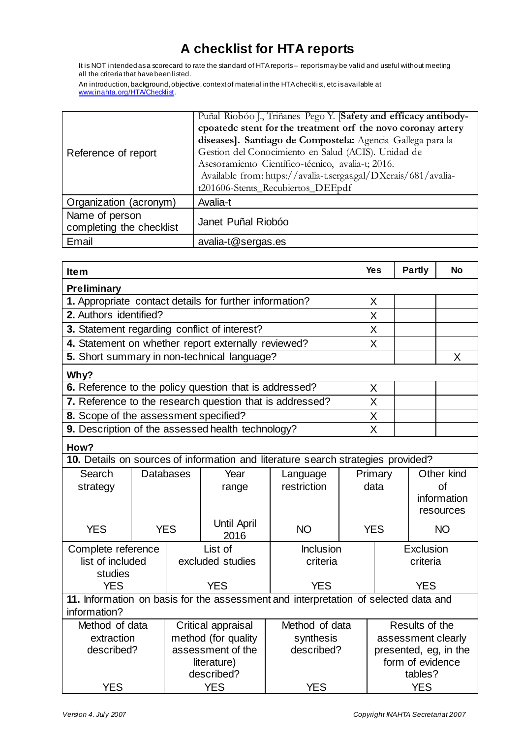## **A checklist for HTA reports**

It is NOT intended as a scorecard to rate the standard of HTA reports – reports may be valid and useful without meeting all the criteria that have been listed.

An introduction, background, objective, context of material in the HTA checklist, etc is available at [www.inahta.org/HTA/Checklist](http://www.inahta.org/HTA/Checklist).

| Reference of report      | Puñal Riobóo J., Triñanes Pego Y. [Safety and efficacy antibody- |
|--------------------------|------------------------------------------------------------------|
|                          | cpoatedc stent for the treatment orf the novo coronay artery     |
|                          | diseases]. Santiago de Compostela: Agencia Gallega para la       |
|                          | Gestion del Conocimiento en Salud (ACIS). Unidad de              |
|                          | Asesoramiento Científico-técnico, avalia-t; 2016.                |
|                          | Available from: https://avalia-t.sergas.gal/DXerais/681/avalia-  |
|                          | t201606-Stents_Recubiertos_DEF.pdf                               |
| Organization (acronym)   | Avalia-t                                                         |
| Name of person           |                                                                  |
| completing the checklist | Janet Puñal Riobóo                                               |
| Email                    | avalia-t@sergas.es                                               |

| <b>Item</b>                                             |                    |                                          |                                                          |                                                                                     |  | <b>Yes</b>                                  | <b>Partly</b> | <b>No</b>   |  |
|---------------------------------------------------------|--------------------|------------------------------------------|----------------------------------------------------------|-------------------------------------------------------------------------------------|--|---------------------------------------------|---------------|-------------|--|
| Preliminary                                             |                    |                                          |                                                          |                                                                                     |  |                                             |               |             |  |
| 1. Appropriate contact details for further information? |                    |                                          |                                                          |                                                                                     |  | X                                           |               |             |  |
| 2. Authors identified?                                  |                    |                                          |                                                          |                                                                                     |  | X                                           |               |             |  |
| 3. Statement regarding conflict of interest?            |                    |                                          |                                                          |                                                                                     |  | X                                           |               |             |  |
| 4. Statement on whether report externally reviewed?     |                    |                                          |                                                          |                                                                                     |  | Χ                                           |               |             |  |
| 5. Short summary in non-technical language?             |                    |                                          |                                                          |                                                                                     |  |                                             |               | X           |  |
| Why?                                                    |                    |                                          |                                                          |                                                                                     |  |                                             |               |             |  |
|                                                         |                    |                                          | 6. Reference to the policy question that is addressed?   |                                                                                     |  | X                                           |               |             |  |
|                                                         |                    |                                          | 7. Reference to the research question that is addressed? |                                                                                     |  | X                                           |               |             |  |
| 8. Scope of the assessment specified?                   |                    |                                          |                                                          |                                                                                     |  | X                                           |               |             |  |
| 9. Description of the assessed health technology?       |                    |                                          |                                                          |                                                                                     |  | X                                           |               |             |  |
| How?                                                    |                    |                                          |                                                          |                                                                                     |  |                                             |               |             |  |
|                                                         |                    |                                          |                                                          | 10. Details on sources of information and literature search strategies provided?    |  |                                             |               |             |  |
| Search                                                  |                    | <b>Databases</b>                         | Year                                                     | Language                                                                            |  | Primary                                     |               | Other kind  |  |
| strategy                                                |                    |                                          | range                                                    | restriction                                                                         |  | data                                        |               | of          |  |
|                                                         |                    |                                          |                                                          |                                                                                     |  |                                             |               | information |  |
|                                                         |                    |                                          | <b>Until April</b>                                       |                                                                                     |  |                                             |               | resources   |  |
| <b>YES</b>                                              |                    | <b>YES</b>                               | 2016                                                     | <b>NO</b>                                                                           |  | <b>YES</b>                                  |               | <b>NO</b>   |  |
|                                                         | Complete reference |                                          | List of                                                  | <b>Inclusion</b>                                                                    |  | Exclusion                                   |               |             |  |
| list of included                                        |                    | excluded studies                         |                                                          | criteria                                                                            |  | criteria                                    |               |             |  |
| studies                                                 |                    |                                          |                                                          |                                                                                     |  |                                             |               |             |  |
| <b>YES</b>                                              |                    |                                          | <b>YES</b>                                               | <b>YES</b>                                                                          |  | <b>YES</b>                                  |               |             |  |
|                                                         |                    |                                          |                                                          | 11. Information on basis for the assessment and interpretation of selected data and |  |                                             |               |             |  |
| information?                                            |                    |                                          |                                                          |                                                                                     |  |                                             |               |             |  |
| Method of data                                          |                    |                                          | Critical appraisal                                       | Method of data                                                                      |  | Results of the                              |               |             |  |
| extraction<br>described?                                |                    | method (for quality<br>assessment of the |                                                          | synthesis<br>described?                                                             |  | assessment clearly<br>presented, eg, in the |               |             |  |
|                                                         |                    | literature)                              |                                                          |                                                                                     |  | form of evidence                            |               |             |  |
|                                                         |                    |                                          | described?                                               |                                                                                     |  |                                             | tables?       |             |  |
| <b>YES</b>                                              |                    | <b>YES</b>                               |                                                          | <b>YES</b>                                                                          |  | <b>YES</b>                                  |               |             |  |